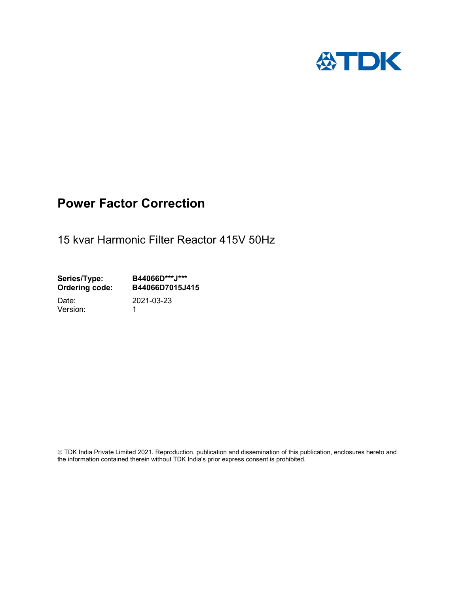

## Power Factor Correction

15 kvar Harmonic Filter Reactor 415V 50Hz

Series/Type: B44066D\*\*\*J\*\*\*<br>Ordering code: B44066D7015J4 B44066D7015J415 Date: 2021-03-23

Version: 1

 TDK India Private Limited 2021. Reproduction, publication and dissemination of this publication, enclosures hereto and the information contained therein without TDK India's prior express consent is prohibited.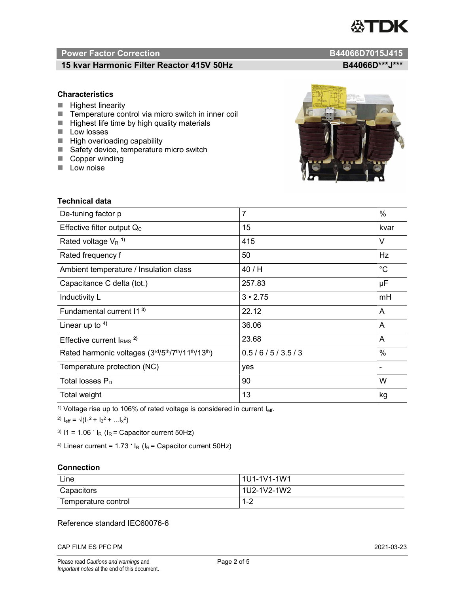# TDK

### Power Factor Correction and Content of Content of Content of Content of Content of Content of Content of Content of Content of Content of Content of Content of Content of Content of Content of Content of Content of Content

### 15 kvar Harmonic Filter Reactor 415V 50Hz B44066D\*\*\*J\*\*\*

### **Characteristics**

- $\blacksquare$  Highest linearity
- Temperature control via micro switch in inner coil
- $\blacksquare$  Highest life time by high quality materials
- **Low losses**
- $\blacksquare$  High overloading capability
- Safety device, temperature micro switch
- Copper winding
- **Low noise**

| Technical data                                  |                |             |  |  |
|-------------------------------------------------|----------------|-------------|--|--|
| De-tuning factor p                              | $\overline{7}$ | %           |  |  |
| Effective filter output $Q_C$                   | 15             | kvar        |  |  |
| Rated voltage $V_R$ <sup>1)</sup>               | 415            | V           |  |  |
| Rated frequency f                               | 50             | Hz          |  |  |
| Ambient temperature / Insulation class          | 40 / H         | $^{\circ}C$ |  |  |
| Capacitance C delta (tot.)                      | 257.83         | μF          |  |  |
| Inductivity L                                   | $3 \cdot 2.75$ | mH          |  |  |
| Fundamental current 11 <sup>3)</sup>            | 22.12          | A           |  |  |
| Linear up to $4$ )                              | 36.06          | A           |  |  |
| Effective current $IRMS$ <sup>2)</sup>          | 23.68          | A           |  |  |
| Rated harmonic voltages (3rd/5th/7th/11th/13th) | 0.5/6/5/3.5/3  | $\%$        |  |  |
| Temperature protection (NC)                     | yes            |             |  |  |
| Total losses $P_D$                              | 90             | W           |  |  |
| Total weight                                    | 13             | kg          |  |  |

<sup>1)</sup> Voltage rise up to 106% of rated voltage is considered in current  $I_{\text{eff}}$ .

<sup>2)</sup>  $I_{eff} = \sqrt{(I_1^2 + I_3^2 + ... I_x^2)}$ 

<sup>3)</sup>  $11 = 1.06$   $\cdot$   $I_R$  ( $I_R$  = Capacitor current 50Hz)

<sup>4)</sup> Linear current =  $1.73$   $\cdot$  I<sub>R</sub> (I<sub>R</sub> = Capacitor current 50Hz)

### **Connection**

| Line                | 1U1-1V1-1W1                         |
|---------------------|-------------------------------------|
| Capacitors          | l 1U2-1V2-1W2                       |
| Temperature control | $\sim$<br>$\overline{ }$<br>- I = 4 |

### Reference standard IEC60076-6

CAP FILM ES PFC PM 2021-03-23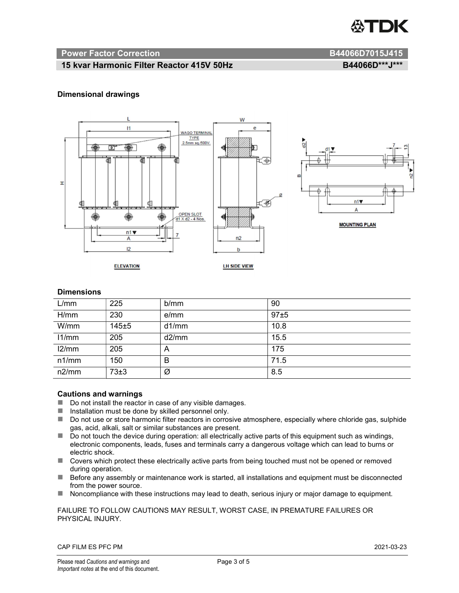

### Power Factor Correction and B44066D7015J415

### 15 kvar Harmonic Filter Reactor 415V 50Hz B44066D\*\*\*J\*\*\*

### Dimensional drawings



### **Dimensions**

| L/mm  | 225   | b/mm  | 90   |
|-------|-------|-------|------|
| H/mm  | 230   | e/mm  | 97±5 |
| W/mm  | 145±5 | d1/mm | 10.8 |
| 11/mm | 205   | d2/mm | 15.5 |
| 12/mm | 205   | A     | 175  |
| n1/mm | 150   | B     | 71.5 |
| n2/mm | 73±3  | Ø     | 8.5  |

### Cautions and warnings

- Do not install the reactor in case of any visible damages.
- $\blacksquare$  Installation must be done by skilled personnel only.
- Do not use or store harmonic filter reactors in corrosive atmosphere, especially where chloride gas, sulphide gas, acid, alkali, salt or similar substances are present.
- Do not touch the device during operation: all electrically active parts of this equipment such as windings, electronic components, leads, fuses and terminals carry a dangerous voltage which can lead to burns or electric shock.
- Covers which protect these electrically active parts from being touched must not be opened or removed during operation.
- Before any assembly or maintenance work is started, all installations and equipment must be disconnected from the power source.
- Noncompliance with these instructions may lead to death, serious injury or major damage to equipment.

FAILURE TO FOLLOW CAUTIONS MAY RESULT, WORST CASE, IN PREMATURE FAILURES OR PHYSICAL INJURY.

CAP FILM ES PFC PM 2021-03-23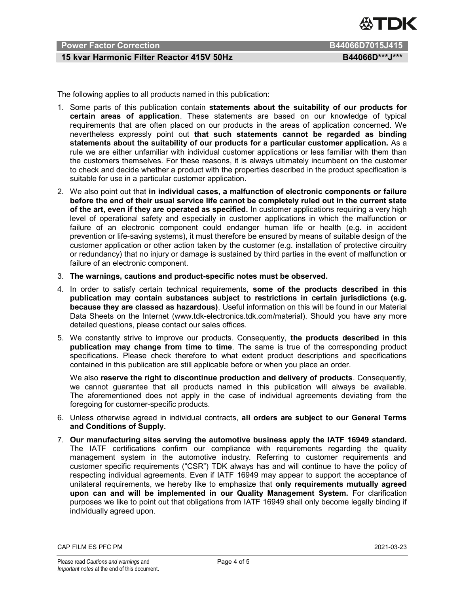

### Power Factor Correction B44066D7015J415

### 15 kvar Harmonic Filter Reactor 415V 50Hz B44066D\*\*\*J\*\*\*

The following applies to all products named in this publication:

- 1. Some parts of this publication contain statements about the suitability of our products for certain areas of application. These statements are based on our knowledge of typical requirements that are often placed on our products in the areas of application concerned. We nevertheless expressly point out that such statements cannot be regarded as binding statements about the suitability of our products for a particular customer application. As a rule we are either unfamiliar with individual customer applications or less familiar with them than the customers themselves. For these reasons, it is always ultimately incumbent on the customer to check and decide whether a product with the properties described in the product specification is suitable for use in a particular customer application.
- 2. We also point out that in individual cases, a malfunction of electronic components or failure before the end of their usual service life cannot be completely ruled out in the current state of the art, even if they are operated as specified. In customer applications requiring a very high level of operational safety and especially in customer applications in which the malfunction or failure of an electronic component could endanger human life or health (e.g. in accident prevention or life-saving systems), it must therefore be ensured by means of suitable design of the customer application or other action taken by the customer (e.g. installation of protective circuitry or redundancy) that no injury or damage is sustained by third parties in the event of malfunction or failure of an electronic component.
- 3. The warnings, cautions and product-specific notes must be observed.
- 4. In order to satisfy certain technical requirements, some of the products described in this publication may contain substances subject to restrictions in certain jurisdictions (e.g. because they are classed as hazardous). Useful information on this will be found in our Material Data Sheets on the Internet (www.tdk-electronics.tdk.com/material). Should you have any more detailed questions, please contact our sales offices.
- 5. We constantly strive to improve our products. Consequently, the products described in this publication may change from time to time. The same is true of the corresponding product specifications. Please check therefore to what extent product descriptions and specifications contained in this publication are still applicable before or when you place an order.

We also reserve the right to discontinue production and delivery of products. Consequently, we cannot guarantee that all products named in this publication will always be available. The aforementioned does not apply in the case of individual agreements deviating from the foregoing for customer-specific products.

- 6. Unless otherwise agreed in individual contracts, all orders are subject to our General Terms and Conditions of Supply.
- 7. Our manufacturing sites serving the automotive business apply the IATF 16949 standard. The IATF certifications confirm our compliance with requirements regarding the quality management system in the automotive industry. Referring to customer requirements and customer specific requirements ("CSR") TDK always has and will continue to have the policy of respecting individual agreements. Even if IATF 16949 may appear to support the acceptance of unilateral requirements, we hereby like to emphasize that only requirements mutually agreed upon can and will be implemented in our Quality Management System. For clarification purposes we like to point out that obligations from IATF 16949 shall only become legally binding if individually agreed upon.